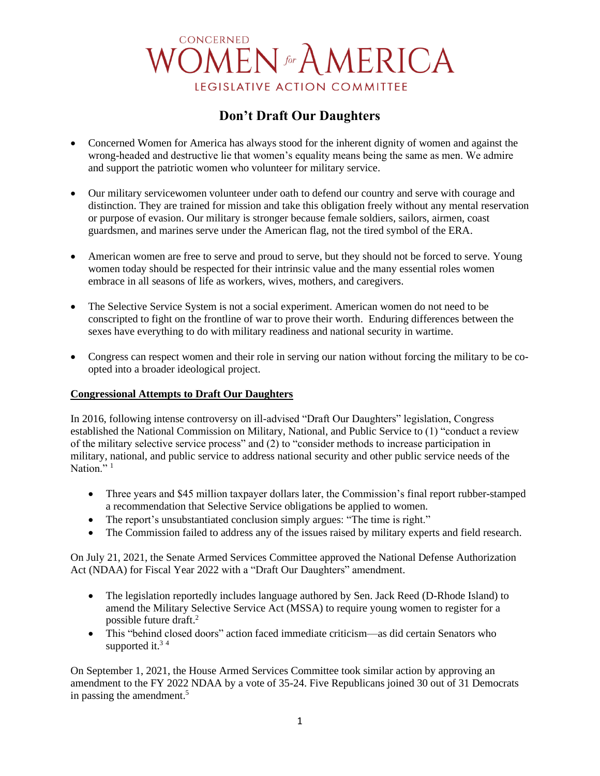# CONCERNED **OMEN** for A MERICA LEGISLATIVE ACTION COMMITTEE

# **Don't Draft Our Daughters**

- Concerned Women for America has always stood for the inherent dignity of women and against the wrong-headed and destructive lie that women's equality means being the same as men. We admire and support the patriotic women who volunteer for military service.
- Our military servicewomen volunteer under oath to defend our country and serve with courage and distinction. They are trained for mission and take this obligation freely without any mental reservation or purpose of evasion. Our military is stronger because female soldiers, sailors, airmen, coast guardsmen, and marines serve under the American flag, not the tired symbol of the ERA.
- American women are free to serve and proud to serve, but they should not be forced to serve. Young women today should be respected for their intrinsic value and the many essential roles women embrace in all seasons of life as workers, wives, mothers, and caregivers.
- The Selective Service System is not a social experiment. American women do not need to be conscripted to fight on the frontline of war to prove their worth. Enduring differences between the sexes have everything to do with military readiness and national security in wartime.
- Congress can respect women and their role in serving our nation without forcing the military to be coopted into a broader ideological project.

#### **Congressional Attempts to Draft Our Daughters**

In 2016, following intense controversy on ill-advised "Draft Our Daughters" legislation, Congress established the National Commission on Military, National, and Public Service to (1) "conduct a review of the military selective service process" and (2) to "consider methods to increase participation in military, national, and public service to address national security and other public service needs of the Nation." $1$ 

- Three years and \$45 million taxpayer dollars later, the Commission's final report rubber-stamped a recommendation that Selective Service obligations be applied to women.
- The report's unsubstantiated conclusion simply argues: "The time is right."
- The Commission failed to address any of the issues raised by military experts and field research.

On July 21, 2021, the Senate Armed Services Committee approved the National Defense Authorization Act (NDAA) for Fiscal Year 2022 with a "Draft Our Daughters" amendment.

- The legislation reportedly includes language authored by Sen. Jack Reed (D-Rhode Island) to amend the Military Selective Service Act (MSSA) to require young women to register for a possible future draft.<sup>2</sup>
- This "behind closed doors" action faced immediate criticism—as did certain Senators who supported it.<sup>34</sup>

On September 1, 2021, the House Armed Services Committee took similar action by approving an amendment to the FY 2022 NDAA by a vote of 35-24. Five Republicans joined 30 out of 31 Democrats in passing the amendment.<sup>5</sup>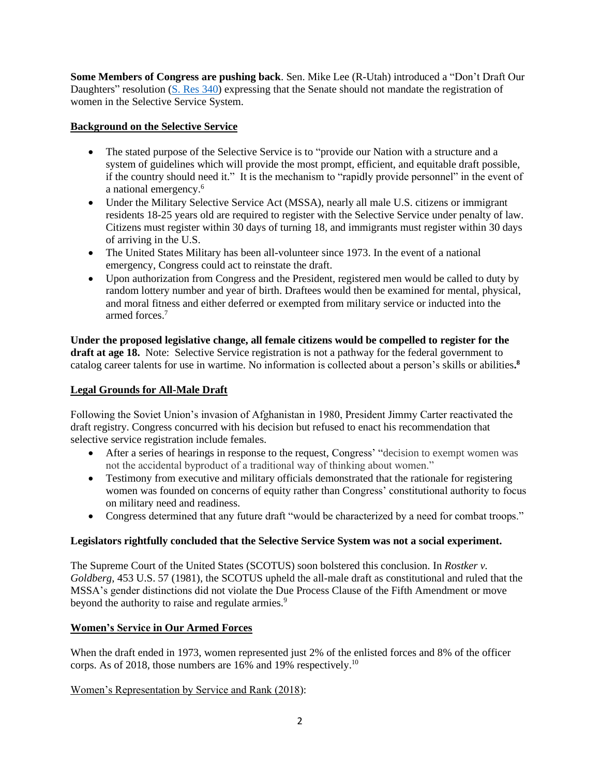**Some Members of Congress are pushing back**. Sen. Mike Lee (R-Utah) introduced a "Don't Draft Our Daughters" resolution (S. [Res 340\)](https://www.congress.gov/bill/117th-congress/senate-resolution/340?q=%7B%22search%22%3A%5B%22S+REs+340%22%5D%7D&s=1&r=1) expressing that the Senate should not mandate the registration of women in the Selective Service System.

## **Background on the Selective Service**

- The stated purpose of the Selective Service is to "provide our Nation with a structure and a system of guidelines which will provide the most prompt, efficient, and equitable draft possible, if the country should need it." It is the mechanism to "rapidly provide personnel" in the event of a national emergency.<sup>6</sup>
- Under the Military Selective Service Act (MSSA), nearly all male U.S. citizens or immigrant residents 18-25 years old are required to register with the Selective Service under penalty of law. Citizens must register within 30 days of turning 18, and immigrants must register within 30 days of arriving in the U.S.
- The United States Military has been all-volunteer since 1973. In the event of a national emergency, Congress could act to reinstate the draft.
- Upon authorization from Congress and the President, registered men would be called to duty by random lottery number and year of birth. Draftees would then be examined for mental, physical, and moral fitness and either deferred or exempted from military service or inducted into the armed forces.<sup>7</sup>

**Under the proposed legislative change, all female citizens would be compelled to register for the draft at age 18.** Note: Selective Service registration is not a pathway for the federal government to catalog career talents for use in wartime. No information is collected about a person's skills or abilities**. 8**

## **Legal Grounds for All-Male Draft**

Following the Soviet Union's invasion of Afghanistan in 1980, President Jimmy Carter reactivated the draft registry. Congress concurred with his decision but refused to enact his recommendation that selective service registration include females.

- After a series of hearings in response to the request, Congress' "decision to exempt women was not the accidental byproduct of a traditional way of thinking about women."
- Testimony from executive and military officials demonstrated that the rationale for registering women was founded on concerns of equity rather than Congress' constitutional authority to focus on military need and readiness.
- Congress determined that any future draft "would be characterized by a need for combat troops."

## **Legislators rightfully concluded that the Selective Service System was not a social experiment.**

The Supreme Court of the United States (SCOTUS) soon bolstered this conclusion. In *Rostker v. Goldberg*, 453 U.S. 57 (1981), the SCOTUS upheld the all-male draft as constitutional and ruled that the MSSA's gender distinctions did not violate the Due Process Clause of the Fifth Amendment or move beyond the authority to raise and regulate armies.<sup>9</sup>

## **Women's Service in Our Armed Forces**

When the draft ended in 1973, women represented just 2% of the enlisted forces and 8% of the officer corps. As of 2018, those numbers are 16% and 19% respectively.<sup>10</sup>

## Women's Representation by Service and Rank (2018):